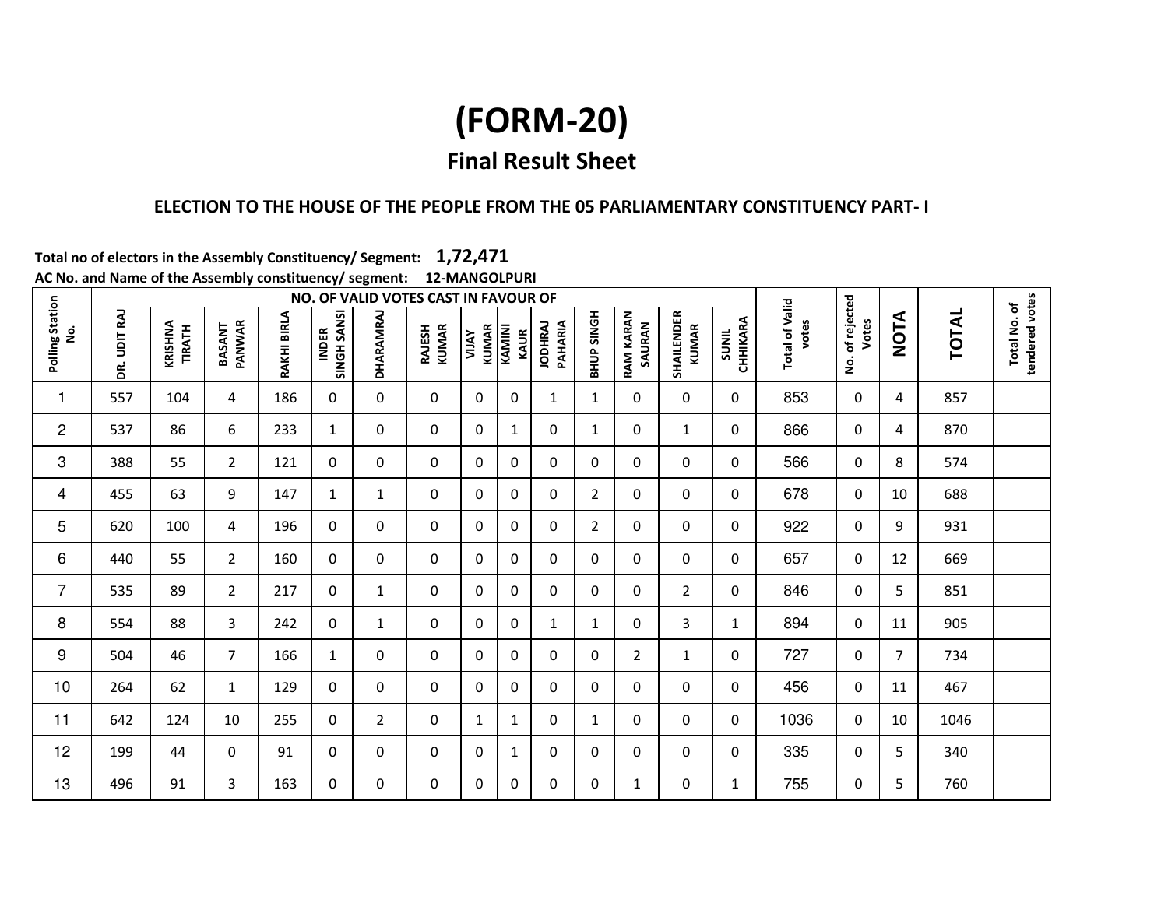## **(FORM-20)**

## **Final Result Sheet**

## **ELECTION TO THE HOUSE OF THE PEOPLE FROM THE 05 PARLIAMENTARY CONSTITUENCY PART- I**

**Total no of electors in the Assembly Constituency/ Segment: 1,72,471**

**AC No. and Name of the Assembly constituency/ segment: 12-MANGOLPURI**

|                                       |              |                          |                  |             |                             |                | NO. OF VALID VOTES CAST IN FAVOUR OF |                              |                |                                  |                   |                            |                            |                          |                                |                                  |                |              |                                |
|---------------------------------------|--------------|--------------------------|------------------|-------------|-----------------------------|----------------|--------------------------------------|------------------------------|----------------|----------------------------------|-------------------|----------------------------|----------------------------|--------------------------|--------------------------------|----------------------------------|----------------|--------------|--------------------------------|
| Polling Station<br>$\dot{\mathsf{g}}$ | DR. UDIT RAJ | KRISHNA<br><b>TIRATH</b> | PANWAR<br>BASANT | RAKHI BIRLA | SINGH SANSI<br><b>INDER</b> | DHARAMRAJ      | <b>KUMAR</b><br>RAJESH               | <b>KUMAR</b><br><b>VALIV</b> | KAMINI<br>KAUR | <b>JODHRAJ</b><br><b>PAHARIA</b> | <b>HONIS dUHB</b> | <b>RAM KARAN</b><br>SAURAN | SHAILENDER<br><b>KUMAR</b> | CHHIKARA<br><b>SUNIL</b> | <b>Total of Valid</b><br>votes | of rejected<br>Votes<br><u>ş</u> | <b>NOTA</b>    | <b>TOTAL</b> | tendered votes<br>Total No. of |
| 1                                     | 557          | 104                      | 4                | 186         | 0                           | 0              | $\Omega$                             | $\Omega$                     | 0              | $\mathbf{1}$                     | 1                 | $\Omega$                   | 0                          | $\mathbf 0$              | 853                            | $\mathbf{0}$                     | 4              | 857          |                                |
| $\overline{c}$                        | 537          | 86                       | 6                | 233         | $\mathbf{1}$                | $\Omega$       | $\Omega$                             | 0                            | 1              | 0                                | 1                 | 0                          | $\mathbf{1}$               | $\mathbf{0}$             | 866                            | $\mathbf{0}$                     | 4              | 870          |                                |
| 3                                     | 388          | 55                       | $\overline{2}$   | 121         | 0                           | $\mathbf 0$    | $\Omega$                             | 0                            | 0              | $\Omega$                         | $\mathbf{0}$      | $\Omega$                   | 0                          | $\mathbf{0}$             | 566                            | $\mathbf{0}$                     | 8              | 574          |                                |
| 4                                     | 455          | 63                       | 9                | 147         | $\mathbf{1}$                | $\mathbf{1}$   | $\Omega$                             | $\Omega$                     | 0              | $\mathbf 0$                      | $\overline{2}$    | $\Omega$                   | 0                          | $\mathbf 0$              | 678                            | $\mathbf{0}$                     | 10             | 688          |                                |
| 5                                     | 620          | 100                      | 4                | 196         | 0                           | $\Omega$       | $\Omega$                             | 0                            | 0              | $\Omega$                         | $\overline{2}$    | $\Omega$                   | 0                          | $\mathbf{0}$             | 922                            | $\mathbf{0}$                     | 9              | 931          |                                |
| 6                                     | 440          | 55                       | $\overline{2}$   | 160         | $\mathbf{0}$                | $\Omega$       | $\Omega$                             | 0                            | 0              | $\Omega$                         | $\mathbf{0}$      | 0                          | 0                          | $\mathbf{0}$             | 657                            | $\mathbf{0}$                     | 12             | 669          |                                |
| $\overline{7}$                        | 535          | 89                       | $\overline{2}$   | 217         | $\mathbf 0$                 | $\mathbf{1}$   | $\mathbf{0}$                         | 0                            | 0              | $\Omega$                         | $\mathbf{0}$      | 0                          | $\overline{2}$             | $\mathbf{0}$             | 846                            | $\mathbf{0}$                     | 5              | 851          |                                |
| 8                                     | 554          | 88                       | 3                | 242         | 0                           | $\mathbf{1}$   | $\Omega$                             | 0                            | 0              | $\mathbf{1}$                     | 1                 | 0                          | 3                          | 1                        | 894                            | $\mathbf{0}$                     | 11             | 905          |                                |
| 9                                     | 504          | 46                       | $\overline{7}$   | 166         | $\mathbf{1}$                | $\mathbf{0}$   | $\Omega$                             | 0                            | 0              | $\Omega$                         | $\mathbf{0}$      | $\overline{2}$             | $\mathbf{1}$               | $\mathbf{0}$             | 727                            | $\mathbf{0}$                     | $\overline{7}$ | 734          |                                |
| 10                                    | 264          | 62                       | 1                | 129         | 0                           | $\Omega$       | $\Omega$                             | 0                            | 0              | $\Omega$                         | $\mathbf{0}$      | 0                          | 0                          | $\mathbf{0}$             | 456                            | $\mathbf{0}$                     | 11             | 467          |                                |
| 11                                    | 642          | 124                      | 10               | 255         | 0                           | $\overline{2}$ | $\Omega$                             | $\mathbf{1}$                 | 1              | $\Omega$                         | 1                 | $\Omega$                   | 0                          | $\mathbf{0}$             | 1036                           | $\Omega$                         | 10             | 1046         |                                |
| 12                                    | 199          | 44                       | $\Omega$         | 91          | 0                           | $\mathbf 0$    | $\Omega$                             | 0                            | 1              | $\Omega$                         | $\mathbf{0}$      | $\Omega$                   | 0                          | 0                        | 335                            | $\mathbf{0}$                     | 5              | 340          |                                |
| 13                                    | 496          | 91                       | 3                | 163         | 0                           | $\Omega$       | $\Omega$                             | 0                            | 0              | $\Omega$                         | $\mathbf{0}$      | 1                          | $\Omega$                   | 1                        | 755                            | $\mathbf{0}$                     | 5              | 760          |                                |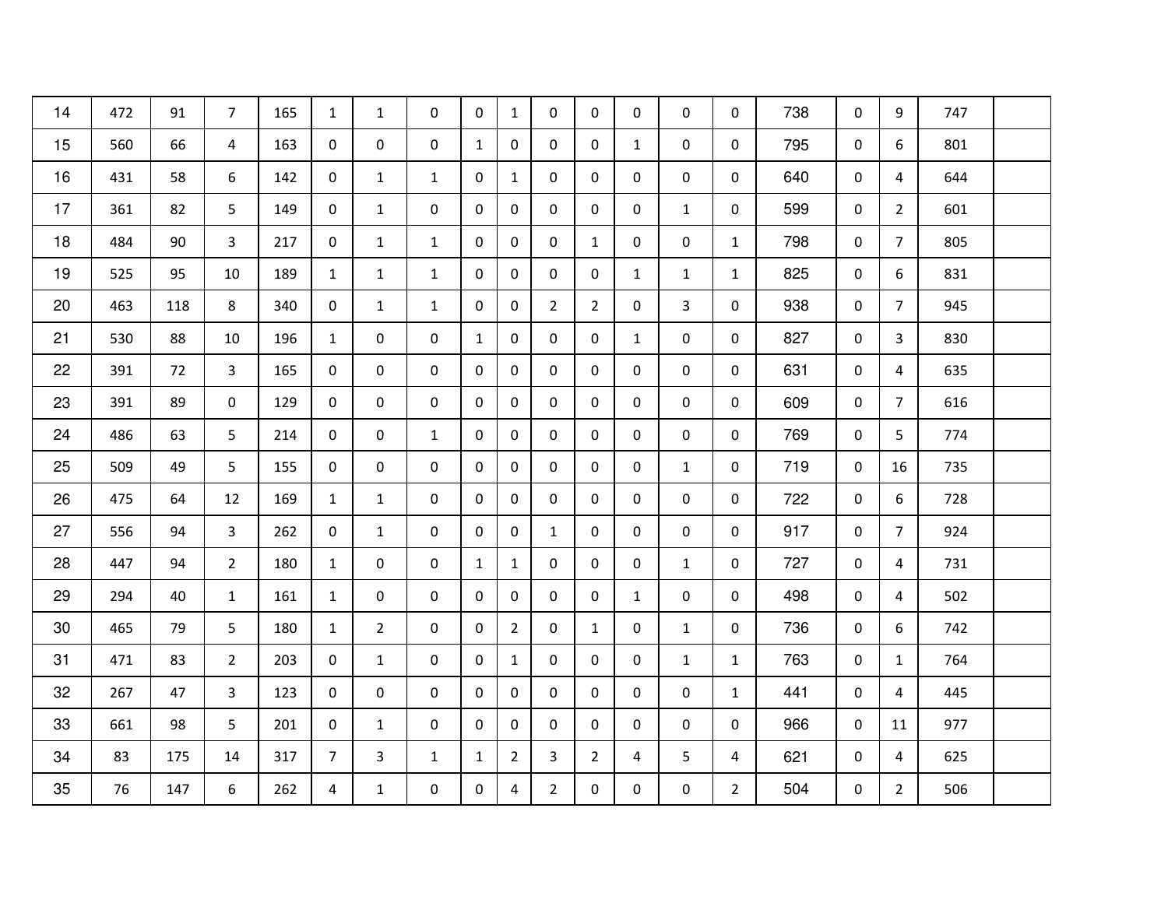| 14 | 472 | 91  | 7 <sup>1</sup> | 165 | $\mathbf{1}$   | 1              | 0            | 0            | 1              | $\Omega$       | 0              | $\mathbf 0$  | 0            | $\Omega$       | 738 | $\mathbf{0}$ | 9              | 747 |  |
|----|-----|-----|----------------|-----|----------------|----------------|--------------|--------------|----------------|----------------|----------------|--------------|--------------|----------------|-----|--------------|----------------|-----|--|
| 15 | 560 | 66  | 4              | 163 | $\mathbf 0$    | $\mathbf 0$    | 0            | $\mathbf{1}$ | 0              | 0              | 0              | $\mathbf{1}$ | 0            | 0              | 795 | $\mathbf{0}$ | 6              | 801 |  |
| 16 | 431 | 58  | 6              | 142 | $\mathbf 0$    | $\mathbf{1}$   | $\mathbf{1}$ | $\Omega$     | 1              | $\Omega$       | 0              | $\Omega$     | 0            | 0              | 640 | 0            | 4              | 644 |  |
| 17 | 361 | 82  | 5              | 149 | $\Omega$       | $\mathbf{1}$   | $\Omega$     | $\Omega$     | $\Omega$       | $\Omega$       | $\Omega$       | $\mathbf{0}$ | $\mathbf{1}$ | $\Omega$       | 599 | $\Omega$     | 2              | 601 |  |
| 18 | 484 | 90  | $\overline{3}$ | 217 | $\mathbf 0$    | $\mathbf{1}$   | $\mathbf{1}$ | 0            | 0              | 0              | $\mathbf{1}$   | $\pmb{0}$    | 0            | $\mathbf{1}$   | 798 | 0            | $\overline{7}$ | 805 |  |
| 19 | 525 | 95  | 10             | 189 | $\mathbf{1}$   | $\mathbf{1}$   | $\mathbf{1}$ | 0            | 0              | 0              | 0              | $\mathbf{1}$ | $\mathbf{1}$ | $\mathbf{1}$   | 825 | $\mathbf 0$  | 6              | 831 |  |
| 20 | 463 | 118 | 8              | 340 | $\mathbf 0$    | $\mathbf{1}$   | $\mathbf{1}$ | $\Omega$     | 0              | $\overline{2}$ | $\overline{2}$ | $\mathbf 0$  | 3            | 0              | 938 | 0            | $\overline{7}$ | 945 |  |
| 21 | 530 | 88  | 10             | 196 | $\mathbf{1}$   | $\mathbf{0}$   | 0            | $\mathbf{1}$ | $\mathbf 0$    | 0              | 0              | $\mathbf{1}$ | 0            | $\Omega$       | 827 | $\Omega$     | 3              | 830 |  |
| 22 | 391 | 72  | $\mathbf{3}$   | 165 | $\mathbf 0$    | $\mathbf 0$    | 0            | 0            | 0              | 0              | 0              | $\mathbf 0$  | 0            | 0              | 631 | $\mathbf 0$  | 4              | 635 |  |
| 23 | 391 | 89  | $\mathbf 0$    | 129 | 0              | $\mathbf 0$    | 0            | 0            | 0              | $\mathbf{0}$   | 0              | 0            | 0            | 0              | 609 | 0            | $\overline{7}$ | 616 |  |
| 24 | 486 | 63  | 5              | 214 | $\Omega$       | $\mathbf{0}$   | $\mathbf{1}$ | $\Omega$     | $\Omega$       | $\Omega$       | $\Omega$       | $\Omega$     | $\Omega$     | $\Omega$       | 769 | $\Omega$     | 5              | 774 |  |
| 25 | 509 | 49  | 5              | 155 | 0              | 0              | 0            | 0            | 0              | 0              | 0              | $\pmb{0}$    | $\mathbf{1}$ | 0              | 719 | $\pmb{0}$    | 16             | 735 |  |
| 26 | 475 | 64  | 12             | 169 | $\mathbf{1}$   | $\mathbf{1}$   | $\mathbf 0$  | 0            | $\mathbf 0$    | 0              | 0              | $\mathbf 0$  | 0            | 0              | 722 | $\mathbf 0$  | 6              | 728 |  |
| 27 | 556 | 94  | $\overline{3}$ | 262 | $\mathbf 0$    | $\mathbf{1}$   | 0            | $\Omega$     | 0              | $\mathbf{1}$   | 0              | $\mathbf 0$  | 0            | 0              | 917 | $\Omega$     | 7              | 924 |  |
| 28 | 447 | 94  | $\overline{2}$ | 180 | $\mathbf{1}$   | $\mathbf 0$    | 0            | $\mathbf{1}$ | 1              | $\Omega$       | 0              | $\mathbf 0$  | $\mathbf{1}$ | 0              | 727 | $\mathbf 0$  | 4              | 731 |  |
| 29 | 294 | 40  | $\mathbf{1}$   | 161 | $\mathbf{1}$   | $\mathbf 0$    | 0            | 0            | 0              | 0              | 0              | $\mathbf{1}$ | 0            | 0              | 498 | 0            | 4              | 502 |  |
| 30 | 465 | 79  | 5              | 180 | $\mathbf{1}$   | $\overline{2}$ | 0            | 0            | $\overline{2}$ | 0              | $\mathbf{1}$   | $\mathbf 0$  | $\mathbf{1}$ | $\Omega$       | 736 | $\Omega$     | 6              | 742 |  |
| 31 | 471 | 83  | $2^{\circ}$    | 203 | $\Omega$       | $\mathbf{1}$   | $\Omega$     | $\Omega$     | 1              | $\Omega$       | 0              | $\pmb{0}$    | $\mathbf{1}$ | $\mathbf{1}$   | 763 | $\Omega$     | 1              | 764 |  |
| 32 | 267 | 47  | 3              | 123 | 0              | $\mathbf 0$    | 0            | 0            | 0              | 0              | 0              | 0            | 0            | $\mathbf{1}$   | 441 | $\mathbf 0$  | 4              | 445 |  |
| 33 | 661 | 98  | 5              | 201 | 0              | $\mathbf{1}$   | 0            | 0            | 0              | 0              | 0              | 0            | 0            | 0              | 966 | 0            | 11             | 977 |  |
| 34 | 83  | 175 | 14             | 317 | $\overline{7}$ | $\overline{3}$ | $\mathbf{1}$ | $\mathbf{1}$ | $\overline{2}$ | 3              | $\overline{2}$ | 4            | 5            | 4              | 621 | $\mathbf 0$  | 4              | 625 |  |
| 35 | 76  | 147 | 6              | 262 | 4              | $\mathbf{1}$   | 0            | 0            | 4              | $\overline{2}$ | 0              | $\mathbf 0$  | 0            | $\overline{2}$ | 504 | $\mathbf 0$  | 2              | 506 |  |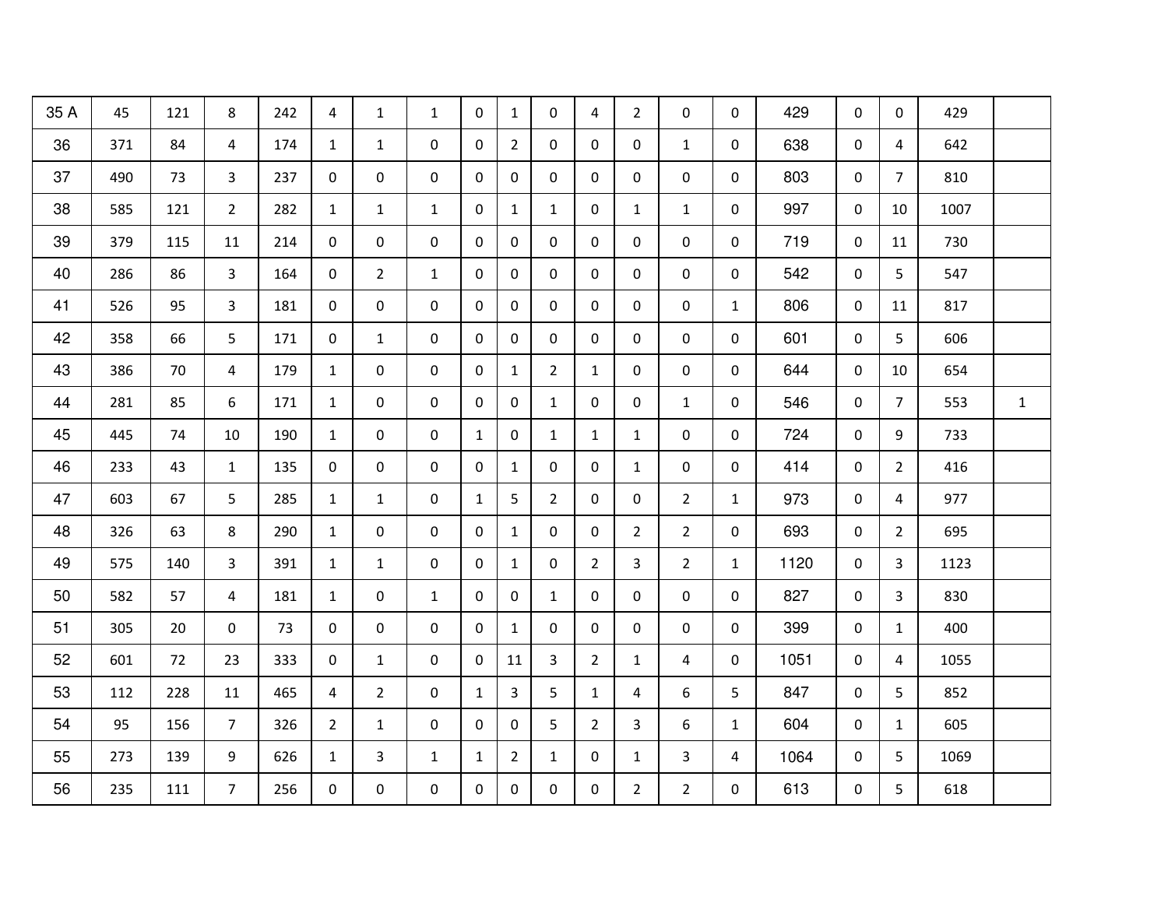| 35 A | 45  | 121 | 8               | 242 | 4              | 1                | $\mathbf{1}$ | 0            | 1              | $\Omega$       | 4                | $\overline{2}$ | 0              | $\Omega$         | 429  | $\Omega$     | $\Omega$       | 429  |              |
|------|-----|-----|-----------------|-----|----------------|------------------|--------------|--------------|----------------|----------------|------------------|----------------|----------------|------------------|------|--------------|----------------|------|--------------|
| 36   | 371 | 84  | 4               | 174 | $\mathbf{1}$   | $\mathbf{1}$     | 0            | 0            | 2              | 0              | $\mathbf 0$      | $\mathbf 0$    | $\mathbf{1}$   | 0                | 638  | 0            | 4              | 642  |              |
| 37   | 490 | 73  | 3               | 237 | $\mathbf 0$    | 0                | 0            | $\Omega$     | $\Omega$       | $\Omega$       | $\mathbf 0$      | $\Omega$       | 0              | $\mathbf 0$      | 803  | $\Omega$     | $\overline{7}$ | 810  |              |
| 38   | 585 | 121 | $2^{\circ}$     | 282 | $\mathbf{1}$   | $\mathbf{1}$     | $\mathbf{1}$ | 0            | $\mathbf{1}$   | $\mathbf{1}$   | $\mathbf 0$      | $\mathbf{1}$   | $\mathbf{1}$   | 0                | 997  | $\Omega$     | 10             | 1007 |              |
| 39   | 379 | 115 | 11              | 214 | $\mathbf 0$    | 0                | 0            | 0            | $\mathbf 0$    | 0              | 0                | 0              | 0              | 0                | 719  | 0            | 11             | 730  |              |
| 40   | 286 | 86  | $\mathbf{3}$    | 164 | 0              | $\overline{2}$   | $\mathbf{1}$ | 0            | 0              | 0              | 0                | $\mathbf{0}$   | 0              | 0                | 542  | 0            | 5              | 547  |              |
| 41   | 526 | 95  | 3               | 181 | 0              | $\mathbf 0$      | $\Omega$     | $\Omega$     | $\mathbf 0$    | $\Omega$       | 0                | 0              | 0              | $\mathbf{1}$     | 806  | $\Omega$     | 11             | 817  |              |
| 42   | 358 | 66  | 5               | 171 | $\Omega$       | $\mathbf{1}$     | $\Omega$     | $\Omega$     | $\mathbf{0}$   | $\Omega$       | $\Omega$         | $\Omega$       | $\Omega$       | $\mathbf 0$      | 601  | $\mathbf 0$  | 5              | 606  |              |
| 43   | 386 | 70  | 4               | 179 | $\mathbf{1}$   | 0                | 0            | $\Omega$     | 1              | $\overline{2}$ | $\mathbf{1}$     | 0              | 0              | 0                | 644  | $\Omega$     | 10             | 654  |              |
| 44   | 281 | 85  | 6               | 171 | $\mathbf{1}$   | 0                | 0            | 0            | 0              | $\mathbf{1}$   | 0                | $\mathbf 0$    | $\mathbf{1}$   | $\mathbf 0$      | 546  | 0            | $\overline{7}$ | 553  | $\mathbf{1}$ |
| 45   | 445 | 74  | 10              | 190 | $\mathbf{1}$   | $\mathbf 0$      | $\mathbf 0$  | $\mathbf{1}$ | $\mathbf 0$    | $\mathbf{1}$   | $\mathbf{1}$     | $\mathbf{1}$   | 0              | $\mathbf 0$      | 724  | $\mathbf 0$  | 9              | 733  |              |
| 46   | 233 | 43  | $\mathbf{1}$    | 135 | $\mathbf 0$    | $\mathbf 0$      | $\mathbf{0}$ | 0            | 1              | 0              | 0                | $\mathbf{1}$   | 0              | 0                | 414  | 0            | $\overline{2}$ | 416  |              |
| 47   | 603 | 67  | 5 <sub>5</sub>  | 285 | $\mathbf{1}$   | $\mathbf{1}$     | 0            | $\mathbf{1}$ | 5              | $\overline{2}$ | 0                | 0              | $\overline{2}$ | $\mathbf{1}$     | 973  | $\mathbf{0}$ | 4              | 977  |              |
| 48   | 326 | 63  | 8               | 290 | $\mathbf{1}$   | $\Omega$         | $\Omega$     | $\Omega$     | 1              | $\mathbf{0}$   | 0                | $\overline{2}$ | $2^{\circ}$    | 0                | 693  | $\mathbf{0}$ | $\overline{2}$ | 695  |              |
| 49   | 575 | 140 | $\mathbf{3}$    | 391 | $\mathbf{1}$   | $\mathbf{1}$     | 0            | 0            | 1              | 0              | $\overline{2}$   | 3              | $2^{\circ}$    | $\mathbf{1}$     | 1120 | 0            | 3              | 1123 |              |
| 50   | 582 | 57  | $\overline{4}$  | 181 | $\mathbf{1}$   | $\boldsymbol{0}$ | $\mathbf{1}$ | 0            | 0              | $\mathbf{1}$   | $\boldsymbol{0}$ | 0              | 0              | $\boldsymbol{0}$ | 827  | $\pmb{0}$    | 3              | 830  |              |
| 51   | 305 | 20  | 0               | 73  | $\mathbf 0$    | $\Omega$         | $\mathbf{0}$ | 0            | $\mathbf{1}$   | 0              | 0                | $\mathbf 0$    | 0              | 0                | 399  | $\mathbf{0}$ | $\mathbf{1}$   | 400  |              |
| 52   | 601 | 72  | 23              | 333 | $\mathbf 0$    | $\mathbf{1}$     | 0            | 0            | 11             | 3              | $\overline{2}$   | $\mathbf{1}$   | 4              | 0                | 1051 | $\Omega$     | 4              | 1055 |              |
| 53   | 112 | 228 | 11              | 465 | 4              | $\overline{2}$   | 0            | $\mathbf{1}$ | 3              | 5              | $\mathbf{1}$     | 4              | 6              | 5                | 847  | $\Omega$     | 5              | 852  |              |
| 54   | 95  | 156 | $7\overline{ }$ | 326 | $\overline{2}$ | $\mathbf{1}$     | $\mathbf{0}$ | 0            | 0              | 5              | $\overline{2}$   | 3              | 6              | $\mathbf{1}$     | 604  | 0            | $\mathbf{1}$   | 605  |              |
| 55   | 273 | 139 | 9               | 626 | $\mathbf{1}$   | 3                | $\mathbf{1}$ | $\mathbf{1}$ | $\overline{2}$ | $\mathbf{1}$   | 0                | $\mathbf{1}$   | 3              | 4                | 1064 | 0            | 5              | 1069 |              |
| 56   | 235 | 111 | 7 <sup>7</sup>  | 256 | 0              | $\mathbf 0$      | 0            | 0            | 0              | 0              | 0                | $\overline{2}$ | $\overline{2}$ | 0                | 613  | 0            | 5              | 618  |              |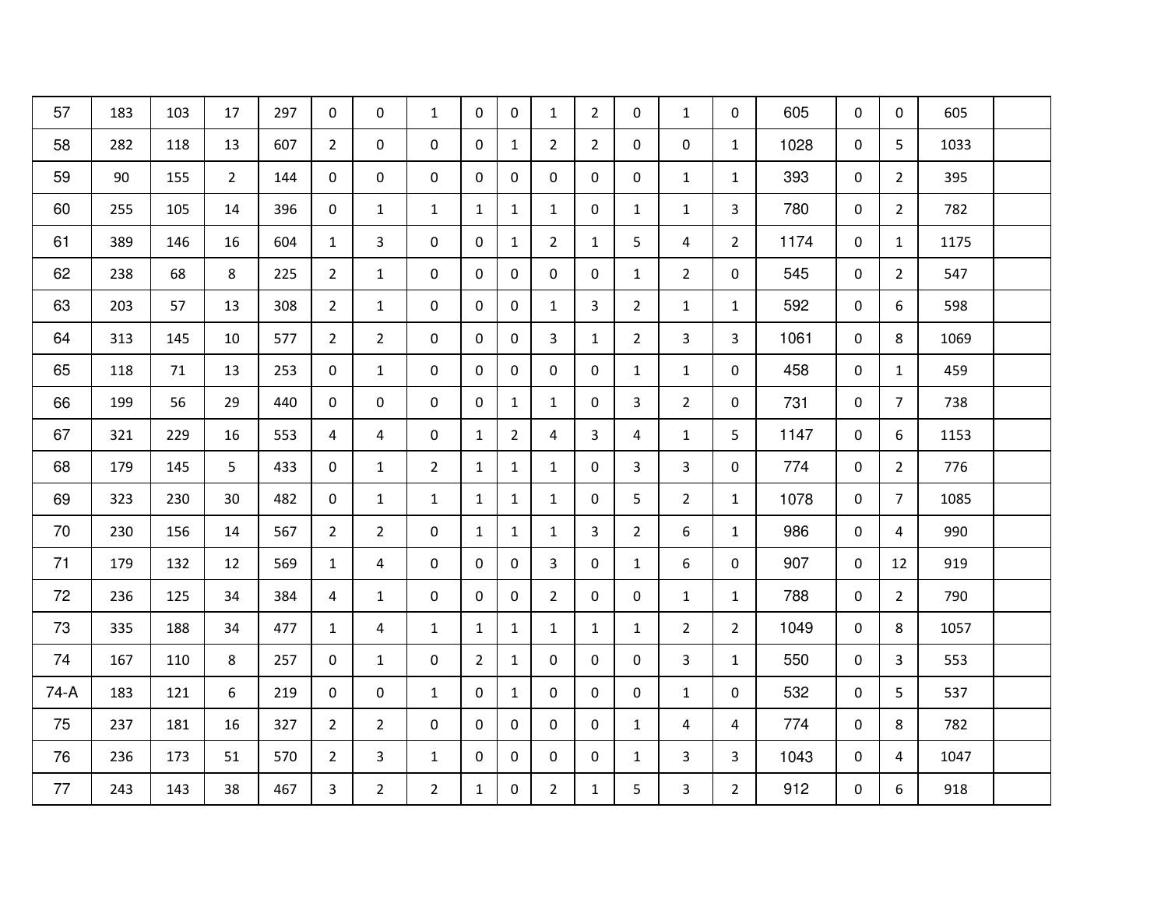| 57   | 183 | 103 | 17          | 297 | 0              | $\mathbf{0}$   | $\mathbf{1}$   | $\Omega$       | 0            | $\mathbf{1}$   | $\overline{2}$ | $\mathbf 0$    | $\mathbf{1}$   | $\Omega$       | 605  | $\mathbf{0}$ | $\Omega$       | 605  |  |
|------|-----|-----|-------------|-----|----------------|----------------|----------------|----------------|--------------|----------------|----------------|----------------|----------------|----------------|------|--------------|----------------|------|--|
| 58   | 282 | 118 | 13          | 607 | $\overline{2}$ | $\mathbf 0$    | 0              | 0              | 1            | $\overline{2}$ | 2              | $\mathbf{0}$   | 0              | 1              | 1028 | $\mathbf 0$  | 5              | 1033 |  |
| 59   | 90  | 155 | $2^{\circ}$ | 144 | 0              | $\mathbf{0}$   | $\Omega$       | $\Omega$       | $\Omega$     | $\Omega$       | 0              | $\Omega$       | $\mathbf{1}$   | $\mathbf{1}$   | 393  | $\mathbf 0$  | $\overline{2}$ | 395  |  |
| 60   | 255 | 105 | 14          | 396 | 0              | $\mathbf{1}$   | $\mathbf{1}$   | $\mathbf{1}$   | $\mathbf{1}$ | $\mathbf{1}$   | 0              | $\mathbf{1}$   | $\mathbf{1}$   | 3              | 780  | $\Omega$     | $\overline{2}$ | 782  |  |
| 61   | 389 | 146 | 16          | 604 | $\mathbf{1}$   | 3              | 0              | 0              | $\mathbf{1}$ | $\overline{2}$ | $\mathbf{1}$   | 5              | 4              | $\overline{2}$ | 1174 | 0            | $\mathbf{1}$   | 1175 |  |
| 62   | 238 | 68  | 8           | 225 | $\overline{2}$ | $\mathbf{1}$   | 0              | 0              | 0            | 0              | 0              | 1              | $\overline{2}$ | 0              | 545  | $\mathbf 0$  | 2              | 547  |  |
| 63   | 203 | 57  | 13          | 308 | $2^{\circ}$    | $\mathbf{1}$   | $\Omega$       | $\Omega$       | $\mathbf 0$  | $\mathbf{1}$   | 3              | $\overline{2}$ | $\mathbf{1}$   | $\mathbf{1}$   | 592  | $\Omega$     | 6              | 598  |  |
| 64   | 313 | 145 | 10          | 577 | $\overline{2}$ | $\overline{2}$ | $\Omega$       | $\Omega$       | $\Omega$     | 3              | $\mathbf{1}$   | $\overline{2}$ | 3              | 3              | 1061 | $\Omega$     | 8              | 1069 |  |
| 65   | 118 | 71  | 13          | 253 | 0              | $\mathbf{1}$   | $\Omega$       | $\Omega$       | 0            | $\Omega$       | 0              | $\mathbf{1}$   | $\mathbf{1}$   | 0              | 458  | $\pmb{0}$    | 1              | 459  |  |
| 66   | 199 | 56  | 29          | 440 | 0              | $\mathbf 0$    | 0              | 0              | 1            | $\mathbf{1}$   | 0              | 3              | $\overline{2}$ | 0              | 731  | 0            | $\overline{7}$ | 738  |  |
| 67   | 321 | 229 | 16          | 553 | 4              | 4              | $\Omega$       | $\mathbf{1}$   | 2            | 4              | 3              | 4              | $\mathbf{1}$   | 5              | 1147 | $\mathbf{0}$ | 6              | 1153 |  |
| 68   | 179 | 145 | 5           | 433 | 0              | $\mathbf{1}$   | $\overline{2}$ | $\mathbf{1}$   | 1            | $\mathbf{1}$   | 0              | 3              | 3              | 0              | 774  | $\mathbf 0$  | 2              | 776  |  |
| 69   | 323 | 230 | 30          | 482 | 0              | $\mathbf{1}$   | $\mathbf{1}$   | $\mathbf{1}$   | 1            | $\mathbf{1}$   | 0              | 5              | $\overline{2}$ | $\mathbf{1}$   | 1078 | 0            | $\overline{7}$ | 1085 |  |
| 70   | 230 | 156 | 14          | 567 | $\overline{2}$ | $\overline{2}$ | $\Omega$       | $\mathbf{1}$   | 1            | $\mathbf{1}$   | 3              | $\overline{2}$ | 6              | 1              | 986  | $\Omega$     | 4              | 990  |  |
| 71   | 179 | 132 | 12          | 569 | $\mathbf{1}$   | 4              | 0              | 0              | $\mathbf 0$  | 3              | 0              | $\mathbf{1}$   | 6              | 0              | 907  | 0            | 12             | 919  |  |
| 72   | 236 | 125 | 34          | 384 | 4              | $\mathbf{1}$   | 0              | 0              | 0            | $\overline{2}$ | 0              | 0              | $\mathbf{1}$   | $\mathbf{1}$   | 788  | $\pmb{0}$    | $\overline{2}$ | 790  |  |
| 73   | 335 | 188 | 34          | 477 | $\mathbf{1}$   | 4              | 1              | $\mathbf{1}$   | 1            | $\mathbf{1}$   | 1              | $\mathbf{1}$   | $\overline{2}$ | 2              | 1049 | $\Omega$     | 8              | 1057 |  |
| 74   | 167 | 110 | 8           | 257 | $\mathbf 0$    | $\mathbf{1}$   | 0              | $\overline{2}$ | 1            | 0              | 0              | 0              | 3              | $\mathbf{1}$   | 550  | 0            | 3              | 553  |  |
| 74-A | 183 | 121 | 6           | 219 | $\Omega$       | $\mathbf 0$    | $\mathbf{1}$   | $\Omega$       | 1            | $\Omega$       | $\Omega$       | $\Omega$       | $\mathbf{1}$   | 0              | 532  | $\mathbf{0}$ | 5              | 537  |  |
| 75   | 237 | 181 | 16          | 327 | $\overline{2}$ | $\overline{2}$ | 0              | 0              | 0            | 0              | 0              | $\mathbf{1}$   | 4              | 4              | 774  | $\pmb{0}$    | 8              | 782  |  |
| 76   | 236 | 173 | 51          | 570 | $\overline{2}$ | 3              | $\mathbf{1}$   | 0              | $\mathbf 0$  | 0              | 0              | $\mathbf{1}$   | 3              | 3              | 1043 | 0            | 4              | 1047 |  |
| 77   | 243 | 143 | 38          | 467 | 3              | $\overline{2}$ | $\overline{2}$ | 1              | 0            | $\overline{2}$ | 1              | 5              | $\overline{3}$ | $\overline{2}$ | 912  | 0            | 6              | 918  |  |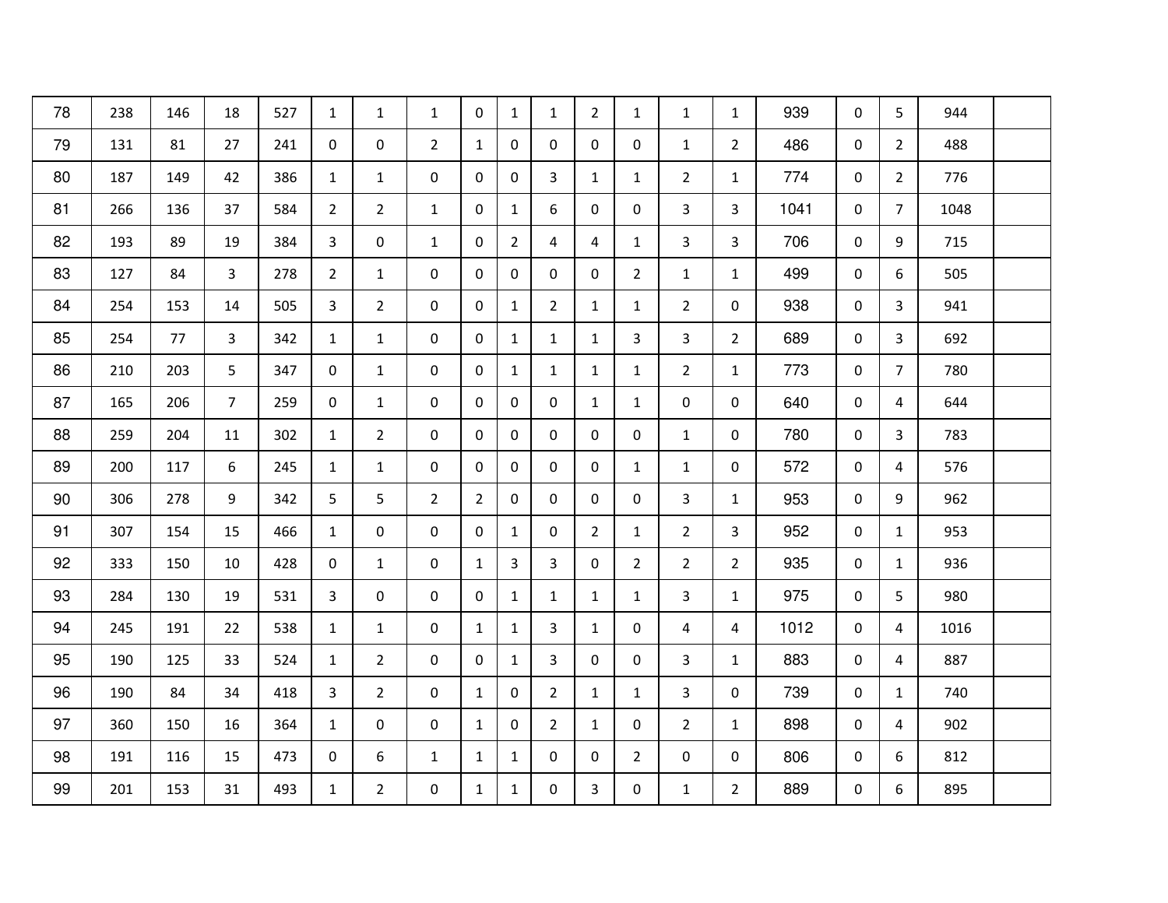| 78 | 238 | 146 | 18              | 527 | $\mathbf{1}$   | 1              | $\mathbf{1}$   | 0                     | 1              | $\mathbf{1}$   | $\overline{2}$ | $\mathbf{1}$   | $\mathbf{1}$   | $\mathbf{1}$   | 939  | $\Omega$     | 5              | 944  |  |
|----|-----|-----|-----------------|-----|----------------|----------------|----------------|-----------------------|----------------|----------------|----------------|----------------|----------------|----------------|------|--------------|----------------|------|--|
| 79 | 131 | 81  | 27              | 241 | 0              | $\mathbf 0$    | $\overline{2}$ | $\mathbf{1}$          | 0              | 0              | 0              | 0              | $\mathbf{1}$   | $\overline{2}$ | 486  | $\mathbf 0$  | $\overline{2}$ | 488  |  |
| 80 | 187 | 149 | 42              | 386 | $\mathbf{1}$   | $\mathbf{1}$   | 0              | 0                     | 0              | 3              | $\mathbf{1}$   | $\mathbf{1}$   | $\overline{2}$ | $\mathbf{1}$   | 774  | $\mathbf 0$  | $\overline{2}$ | 776  |  |
| 81 | 266 | 136 | 37              | 584 | $\overline{2}$ | $\overline{2}$ | $\mathbf{1}$   | $\mathbf 0$           | $\mathbf{1}$   | 6              | 0              | 0              | 3              | 3              | 1041 | 0            | $\overline{7}$ | 1048 |  |
| 82 | 193 | 89  | 19              | 384 | 3              | 0              | $\mathbf{1}$   | 0                     | $\overline{2}$ | 4              | 4              | $\mathbf{1}$   | 3              | 3              | 706  | $\mathbf 0$  | 9              | 715  |  |
| 83 | 127 | 84  | 3               | 278 | $\overline{2}$ | 1              | 0              | 0                     | 0              | 0              | 0              | $\overline{2}$ | $\mathbf{1}$   | 1              | 499  | 0            | 6              | 505  |  |
| 84 | 254 | 153 | 14              | 505 | 3              | $\overline{2}$ | $\Omega$       | 0                     | 1              | $\overline{2}$ | $\mathbf{1}$   | $\mathbf{1}$   | $\overline{2}$ | 0              | 938  | 0            | 3              | 941  |  |
| 85 | 254 | 77  | $\overline{3}$  | 342 | $\mathbf{1}$   | $\mathbf{1}$   | $\Omega$       | $\Omega$              | $\mathbf{1}$   | $\mathbf{1}$   | $\mathbf{1}$   | 3              | 3              | $\overline{2}$ | 689  | $\mathbf 0$  | 3              | 692  |  |
| 86 | 210 | 203 | 5               | 347 | $\mathbf 0$    | 1              | 0              | 0                     | 1              | $\mathbf{1}$   | 1              | $\mathbf{1}$   | $\overline{2}$ | $\mathbf{1}$   | 773  | $\pmb{0}$    | $\overline{7}$ | 780  |  |
| 87 | 165 | 206 | $7\overline{ }$ | 259 | $\mathbf 0$    | $\mathbf{1}$   | 0              | 0                     | 0              | 0              | $\mathbf{1}$   | $\mathbf{1}$   | 0              | 0              | 640  | 0            | 4              | 644  |  |
| 88 | 259 | 204 | 11              | 302 | $\mathbf{1}$   | $\overline{2}$ | $\Omega$       | 0                     | $\mathbf{0}$   | $\mathbf{0}$   | $\Omega$       | $\mathbf 0$    | $\mathbf{1}$   | $\Omega$       | 780  | $\mathbf 0$  | 3              | 783  |  |
| 89 | 200 | 117 | 6               | 245 | $\mathbf{1}$   | 1              | 0              | $\mathbf 0$           | 0              | 0              | 0              | $\mathbf{1}$   | $\mathbf{1}$   | 0              | 572  | 0            | 4              | 576  |  |
| 90 | 306 | 278 | 9               | 342 | 5              | 5              | $\overline{2}$ | $\mathbf{2}^{\prime}$ | 0              | 0              | 0              | 0              | 3              | $\mathbf{1}$   | 953  | 0            | 9              | 962  |  |
| 91 | 307 | 154 | 15              | 466 | $\mathbf{1}$   | $\Omega$       | $\mathbf{0}$   | $\mathbf{0}$          | 1              | 0              | $\overline{2}$ | $\mathbf{1}$   | $\overline{2}$ | 3              | 952  | $\Omega$     | $\mathbf{1}$   | 953  |  |
| 92 | 333 | 150 | 10              | 428 | 0              | 1              | $\mathbf 0$    | $\mathbf{1}$          | 3              | 3              | 0              | $\overline{2}$ | $\overline{2}$ | $\overline{2}$ | 935  | 0            | $\mathbf{1}$   | 936  |  |
| 93 | 284 | 130 | 19              | 531 | 3              | 0              | $\mathbf 0$    | $\mathbf 0$           | $\mathbf{1}$   | $\mathbf{1}$   | $\mathbf{1}$   | $\mathbf{1}$   | 3              | $\mathbf{1}$   | 975  | $\pmb{0}$    | 5              | 980  |  |
| 94 | 245 | 191 | 22              | 538 | $\mathbf{1}$   | 1              | 0              | 1                     | 1              | 3              | $\mathbf{1}$   | 0              | 4              | 4              | 1012 | $\Omega$     | 4              | 1016 |  |
| 95 | 190 | 125 | 33              | 524 | $\mathbf{1}$   | $\overline{2}$ | 0              | 0                     | 1              | 3              | 0              | 0              | 3              | $\mathbf{1}$   | 883  | $\mathbf{0}$ | 4              | 887  |  |
| 96 | 190 | 84  | 34              | 418 | 3              | $\overline{2}$ | 0              | $\mathbf{1}$          | $\Omega$       | $\overline{2}$ | $\mathbf{1}$   | $\mathbf{1}$   | 3              | 0              | 739  | 0            | $\mathbf{1}$   | 740  |  |
| 97 | 360 | 150 | 16              | 364 | $\mathbf{1}$   | $\mathbf 0$    | $\mathbf 0$    | $\mathbf{1}$          | 0              | $\overline{2}$ | $\mathbf{1}$   | 0              | $\overline{2}$ | $\mathbf{1}$   | 898  | $\pmb{0}$    | 4              | 902  |  |
| 98 | 191 | 116 | 15              | 473 | 0              | 6              | $\mathbf{1}$   | $\mathbf{1}$          | $\mathbf{1}$   | 0              | 0              | $\overline{2}$ | 0              | 0              | 806  | $\mathbf 0$  | 6              | 812  |  |
| 99 | 201 | 153 | 31              | 493 | $\mathbf{1}$   | $\overline{2}$ | 0              | $\mathbf{1}$          | 1              | 0              | 3              | 0              | $\mathbf{1}$   | $\overline{2}$ | 889  | 0            | 6              | 895  |  |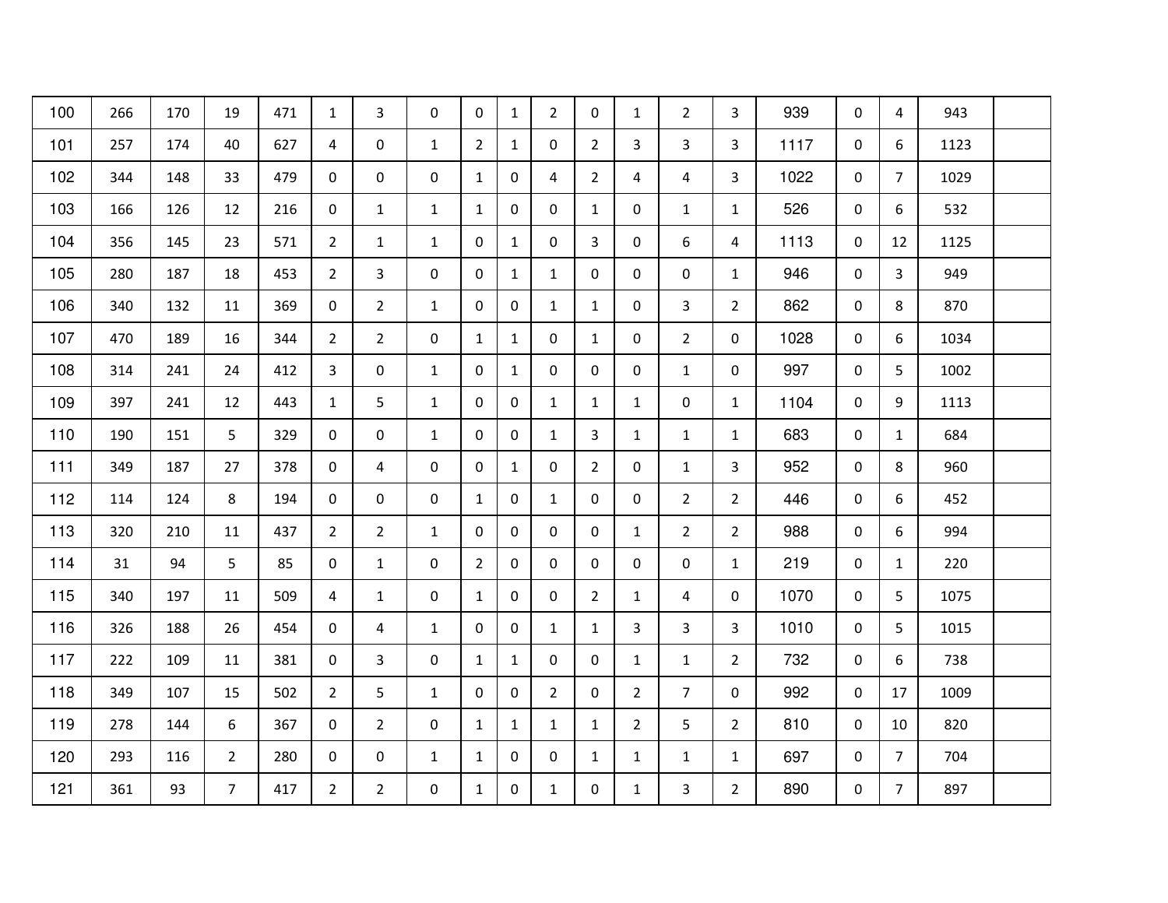| 100 | 266 | 170 | 19             | 471 | $\mathbf{1}$   | 3                | 0            | 0              | 1            | $\overline{2}$   | 0              | $\mathbf{1}$   | $\overline{2}$ | 3              | 939  | $\Omega$    | 4              | 943  |  |
|-----|-----|-----|----------------|-----|----------------|------------------|--------------|----------------|--------------|------------------|----------------|----------------|----------------|----------------|------|-------------|----------------|------|--|
| 101 | 257 | 174 | 40             | 627 | 4              | $\mathbf 0$      | 1            | 2              | 1            | 0                | 2              | 3              | 3              | 3              | 1117 | 0           | 6              | 1123 |  |
| 102 | 344 | 148 | 33             | 479 | 0              | 0                | 0            | $\mathbf{1}$   | 0            | 4                | $\overline{2}$ | 4              | 4              | 3              | 1022 | 0           | $\overline{7}$ | 1029 |  |
| 103 | 166 | 126 | 12             | 216 | $\Omega$       | $\mathbf{1}$     | $\mathbf{1}$ | $\mathbf{1}$   | $\Omega$     | 0                | $\mathbf{1}$   | $\Omega$       | $\mathbf{1}$   | $\mathbf{1}$   | 526  | $\Omega$    | 6              | 532  |  |
| 104 | 356 | 145 | 23             | 571 | $\overline{2}$ | $\mathbf{1}$     | $\mathbf{1}$ | 0              | 1            | 0                | 3              | $\mathbf 0$    | 6              | 4              | 1113 | $\pmb{0}$   | 12             | 1125 |  |
| 105 | 280 | 187 | 18             | 453 | $\overline{2}$ | 3                | 0            | 0              | 1            | $\mathbf{1}$     | 0              | 0              | 0              | $\mathbf{1}$   | 946  | 0           | 3              | 949  |  |
| 106 | 340 | 132 | 11             | 369 | 0              | $\overline{2}$   | 1            | $\mathbf 0$    | 0            | $\mathbf{1}$     | $\mathbf{1}$   | 0              | 3              | $\overline{2}$ | 862  | 0           | 8              | 870  |  |
| 107 | 470 | 189 | 16             | 344 | $\overline{2}$ | $\overline{2}$   | 0            | $\mathbf{1}$   | 1            | 0                | $\mathbf{1}$   | $\mathbf 0$    | $\overline{2}$ | 0              | 1028 | $\mathbf 0$ | 6              | 1034 |  |
| 108 | 314 | 241 | 24             | 412 | 3              | 0                | 1            | 0              | 1            | $\mathbf 0$      | 0              | 0              | $\mathbf{1}$   | 0              | 997  | 0           | 5              | 1002 |  |
| 109 | 397 | 241 | 12             | 443 | $\mathbf{1}$   | 5                | $\mathbf{1}$ | $\Omega$       | 0            | $\mathbf{1}$     | $\mathbf{1}$   | $\mathbf{1}$   | 0              | $\mathbf{1}$   | 1104 | 0           | 9              | 1113 |  |
| 110 | 190 | 151 | 5              | 329 | $\Omega$       | $\Omega$         | $\mathbf{1}$ | 0              | $\Omega$     | $\mathbf{1}$     | 3              | $\mathbf{1}$   | $\mathbf{1}$   | $\mathbf{1}$   | 683  | $\Omega$    | $\mathbf{1}$   | 684  |  |
| 111 | 349 | 187 | 27             | 378 | 0              | 4                | 0            | 0              | $1\,$        | 0                | $\overline{2}$ | 0              | $\mathbf{1}$   | 3              | 952  | $\pmb{0}$   | 8              | 960  |  |
| 112 | 114 | 124 | 8              | 194 | $\mathbf 0$    | $\boldsymbol{0}$ | 0            | $\mathbf{1}$   | 0            | $\mathbf{1}$     | 0              | $\mathbf 0$    | $\overline{2}$ | $\overline{2}$ | 446  | 0           | 6              | 452  |  |
| 113 | 320 | 210 | 11             | 437 | $\overline{2}$ | $\overline{2}$   | $\mathbf{1}$ | 0              | 0            | $\boldsymbol{0}$ | 0              | $\mathbf{1}$   | $\overline{2}$ | 2              | 988  | 0           | 6              | 994  |  |
| 114 | 31  | 94  | 5              | 85  | 0              | $\mathbf{1}$     | 0            | $\overline{2}$ | 0            | 0                | 0              | 0              | 0              | $\mathbf{1}$   | 219  | 0           | 1              | 220  |  |
| 115 | 340 | 197 | 11             | 509 | 4              | $\mathbf{1}$     | 0            | $\mathbf{1}$   | 0            | 0                | $\overline{2}$ | $\mathbf{1}$   | 4              | 0              | 1070 | 0           | 5              | 1075 |  |
| 116 | 326 | 188 | 26             | 454 | 0              | 4                | $\mathbf{1}$ | 0              | 0            | $\mathbf{1}$     | $\mathbf{1}$   | 3              | 3              | 3              | 1010 | $\Omega$    | 5              | 1015 |  |
| 117 | 222 | 109 | 11             | 381 | 0              | 3                | 0            | $\mathbf{1}$   | 1            | $\mathbf 0$      | 0              | $\mathbf{1}$   | $\mathbf{1}$   | $\overline{2}$ | 732  | 0           | 6              | 738  |  |
| 118 | 349 | 107 | 15             | 502 | $\overline{2}$ | 5                | $\mathbf{1}$ | 0              | 0            | $\overline{2}$   | 0              | $\overline{2}$ | $\overline{7}$ | 0              | 992  | 0           | 17             | 1009 |  |
| 119 | 278 | 144 | 6              | 367 | $\mathbf 0$    | $\overline{2}$   | 0            | $\mathbf{1}$   | $\mathbf{1}$ | $\mathbf{1}$     | $\mathbf{1}$   | $\overline{2}$ | 5              | $\overline{2}$ | 810  | 0           | 10             | 820  |  |
| 120 | 293 | 116 | $2^{\circ}$    | 280 | 0              | 0                | $\mathbf{1}$ | $\mathbf{1}$   | 0            | $\mathbf 0$      | $\mathbf{1}$   | $\mathbf{1}$   | $\mathbf{1}$   | $\mathbf{1}$   | 697  | $\mathbf 0$ | $\overline{7}$ | 704  |  |
| 121 | 361 | 93  | $\overline{7}$ | 417 | $\overline{2}$ | $\overline{2}$   | 0            | $\mathbf{1}$   | 0            | 1                | 0              | $\mathbf{1}$   | 3              | $\overline{2}$ | 890  | 0           | 7              | 897  |  |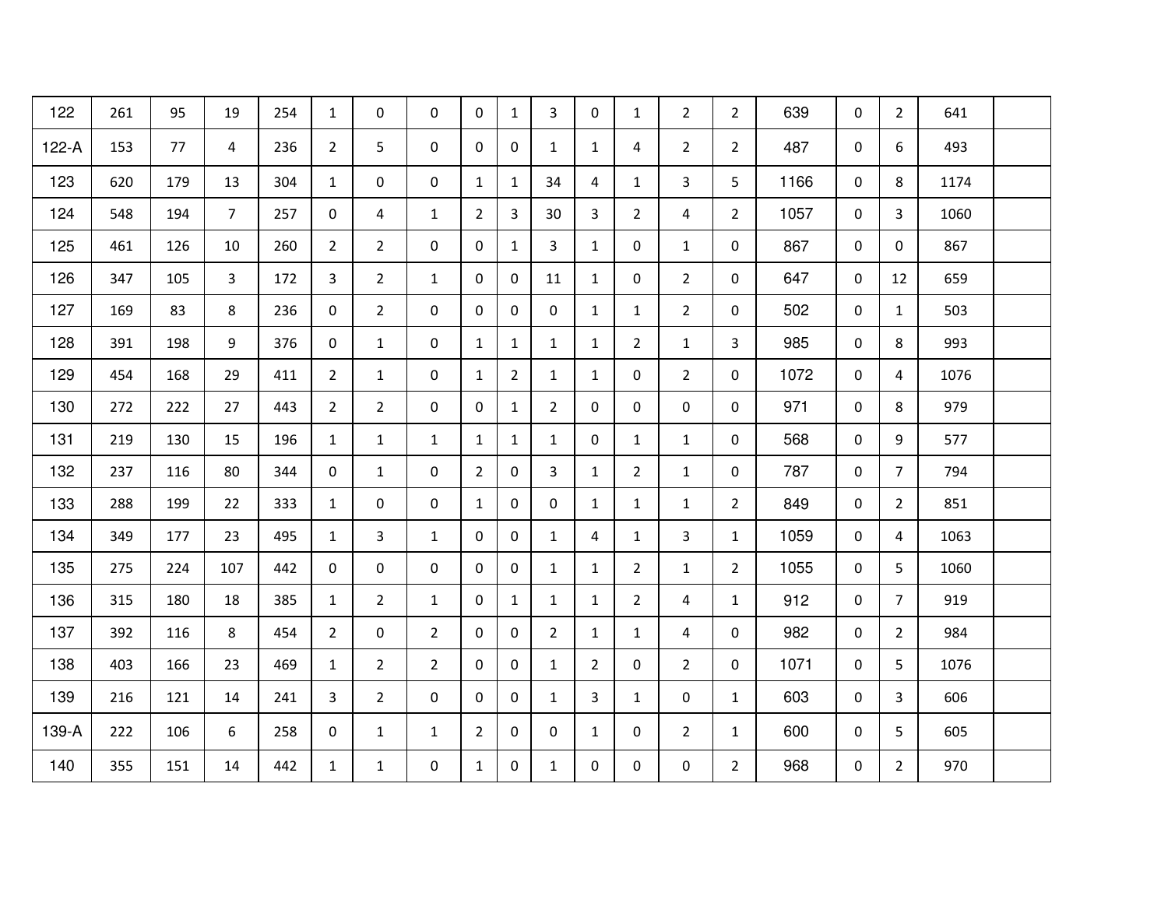| 122     | 261 | 95  | 19              | 254 | $\mathbf{1}$   | 0              | $\Omega$       | 0              | $\mathbf{1}$   | 3              | 0              | $\mathbf{1}$   | $\overline{2}$ | $\overline{2}$ | 639  | $\Omega$    | $\overline{2}$ | 641  |  |
|---------|-----|-----|-----------------|-----|----------------|----------------|----------------|----------------|----------------|----------------|----------------|----------------|----------------|----------------|------|-------------|----------------|------|--|
| $122-A$ | 153 | 77  | 4               | 236 | $\overline{2}$ | 5              | $\mathbf 0$    | $\Omega$       | 0              | $\mathbf{1}$   | $\mathbf{1}$   | 4              | $\overline{2}$ | $\overline{2}$ | 487  | 0           | 6              | 493  |  |
| 123     | 620 | 179 | 13              | 304 | $\mathbf{1}$   | $\Omega$       | $\Omega$       | $\mathbf{1}$   | 1              | 34             | 4              | $\mathbf{1}$   | 3              | 5              | 1166 | $\Omega$    | 8              | 1174 |  |
| 124     | 548 | 194 | $7\overline{ }$ | 257 | 0              | 4              | 1              | $\overline{2}$ | 3              | 30             | 3              | $\overline{2}$ | 4              | 2              | 1057 | 0           | 3              | 1060 |  |
| 125     | 461 | 126 | 10              | 260 | $\overline{2}$ | $\overline{2}$ | $\mathbf 0$    | 0              | 1              | 3              | $\mathbf{1}$   | 0              | $\mathbf{1}$   | $\mathbf{0}$   | 867  | 0           | 0              | 867  |  |
| 126     | 347 | 105 | $\overline{3}$  | 172 | 3              | 2              | 1              | 0              | $\Omega$       | 11             | $\mathbf{1}$   | 0              | $\overline{2}$ | $\Omega$       | 647  | $\Omega$    | 12             | 659  |  |
| 127     | 169 | 83  | 8               | 236 | $\Omega$       | $\overline{2}$ | $\Omega$       | 0              | 0              | 0              | $\mathbf{1}$   | $\mathbf{1}$   | $\overline{2}$ | $\Omega$       | 502  | $\Omega$    | $\mathbf{1}$   | 503  |  |
| 128     | 391 | 198 | 9               | 376 | 0              | 1              | 0              | 1              | 1              | $\mathbf{1}$   | 1              | $\overline{2}$ | $\mathbf{1}$   | 3              | 985  | 0           | 8              | 993  |  |
| 129     | 454 | 168 | 29              | 411 | $\overline{2}$ | $\mathbf{1}$   | $\mathbf 0$    | $\mathbf{1}$   | $\overline{2}$ | $\mathbf{1}$   | $\mathbf{1}$   | $\mathbf 0$    | $\overline{2}$ | 0              | 1072 | 0           | 4              | 1076 |  |
| 130     | 272 | 222 | 27              | 443 | $\overline{2}$ | 2              | $\Omega$       | 0              | 1              | $\overline{2}$ | 0              | 0              | 0              | 0              | 971  | $\Omega$    | 8              | 979  |  |
| 131     | 219 | 130 | 15              | 196 | $\mathbf{1}$   | $\mathbf{1}$   | $\mathbf{1}$   | $\mathbf{1}$   | 1              | $\mathbf{1}$   | 0              | $\mathbf{1}$   | $\mathbf{1}$   | $\mathbf 0$    | 568  | 0           | 9              | 577  |  |
| 132     | 237 | 116 | 80              | 344 | 0              | $\mathbf{1}$   | $\mathbf 0$    | $\overline{2}$ | 0              | 3              | 1              | $\overline{2}$ | $\mathbf{1}$   | 0              | 787  | 0           | $\overline{7}$ | 794  |  |
| 133     | 288 | 199 | 22              | 333 | $\mathbf{1}$   | 0              | $\mathbf 0$    | $\mathbf{1}$   | 0              | 0              | $\mathbf{1}$   | $\mathbf{1}$   | $\mathbf{1}$   | $\overline{2}$ | 849  | $\mathbf 0$ | $\overline{2}$ | 851  |  |
| 134     | 349 | 177 | 23              | 495 | $\mathbf{1}$   | 3              | 1              | 0              | 0              | $\mathbf{1}$   | 4              | $\mathbf{1}$   | 3              | 1              | 1059 | $\Omega$    | 4              | 1063 |  |
| 135     | 275 | 224 | 107             | 442 | 0              | 0              | $\mathbf 0$    | 0              | 0              | $\mathbf{1}$   | $\mathbf{1}$   | $\overline{2}$ | $\mathbf{1}$   | $\overline{2}$ | 1055 | 0           | 5              | 1060 |  |
| 136     | 315 | 180 | 18              | 385 | $\mathbf{1}$   | 2              | 1              | 0              | 1              | $\mathbf{1}$   | 1              | $\overline{2}$ | 4              | 1              | 912  | 0           | $\overline{7}$ | 919  |  |
| 137     | 392 | 116 | 8               | 454 | $\overline{2}$ | 0              | $\overline{2}$ | 0              | 0              | $\overline{2}$ | $\mathbf{1}$   | $\mathbf{1}$   | 4              | 0              | 982  | 0           | $\overline{2}$ | 984  |  |
| 138     | 403 | 166 | 23              | 469 | $\mathbf{1}$   | 2              | $\overline{2}$ | 0              | 0              | $\mathbf{1}$   | $\overline{2}$ | 0              | $\overline{2}$ | 0              | 1071 | 0           | 5              | 1076 |  |
| 139     | 216 | 121 | 14              | 241 | 3              | $\overline{2}$ | $\mathbf 0$    | 0              | 0              | $\mathbf{1}$   | 3              | $\mathbf{1}$   | 0              | $\mathbf{1}$   | 603  | 0           | 3              | 606  |  |
| 139-A   | 222 | 106 | 6               | 258 | 0              | 1              | 1              | 2              | 0              | 0              | $\mathbf{1}$   | 0              | 2              | 1              | 600  | 0           | 5              | 605  |  |
| 140     | 355 | 151 | 14              | 442 | $\mathbf{1}$   | 1              | $\mathbf 0$    | $\mathbf{1}$   | 0              | $\mathbf{1}$   | 0              | 0              | 0              | $\overline{2}$ | 968  | 0           | $\overline{2}$ | 970  |  |